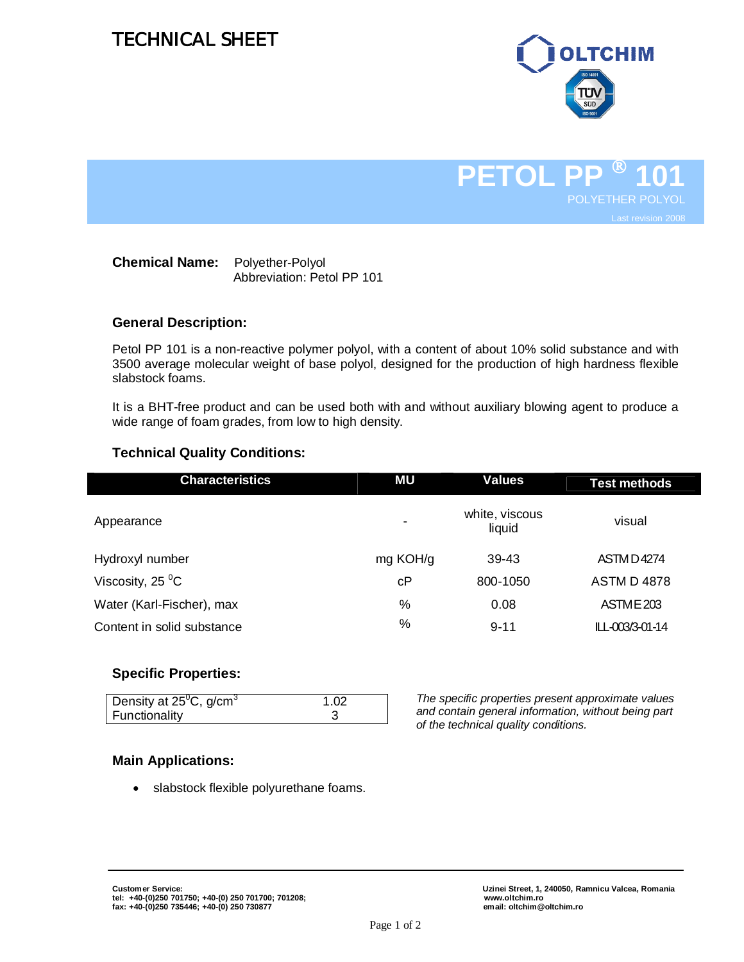# TECHNICAL SHEET



**PETOL P 101** POLYETHER POLYOL Last revision 2008

| <b>Chemical Name:</b> | Polyether-Polyol           |
|-----------------------|----------------------------|
|                       | Abbreviation: Petol PP 101 |

#### **General Description:**

Petol PP 101 is a non-reactive polymer polyol, with a content of about 10% solid substance and with 3500 average molecular weight of base polyol, designed for the production of high hardness flexible slabstock foams.

It is a BHT-free product and can be used both with and without auxiliary blowing agent to produce a wide range of foam grades, from low to high density.

#### **Technical Quality Conditions:**

| <b>Characteristics</b>       | ΜU             | <b>Values</b>            | <b>Test methods</b> |
|------------------------------|----------------|--------------------------|---------------------|
| Appearance                   | $\blacksquare$ | white, viscous<br>liquid | visual              |
| Hydroxyl number              | mg KOH/g       | 39-43                    | <b>ASTMD4274</b>    |
| Viscosity, 25 $\mathrm{^0C}$ | cP             | 800-1050                 | <b>ASTM D 4878</b>  |
| Water (Karl-Fischer), max    | $\%$           | 0.08                     | ASTME 203           |
| Content in solid substance   | %              | $9 - 11$                 | ILL-003/3-01-14     |

#### **Specific Properties:**

| Density at $25^{\circ}$ C, g/cm <sup>3</sup> | 1.02 |
|----------------------------------------------|------|
| Functionality                                |      |

*The specific properties present approximate values and contain general information, without being part of the technical quality conditions.*

### **Main Applications:**

• slabstock flexible polyurethane foams.